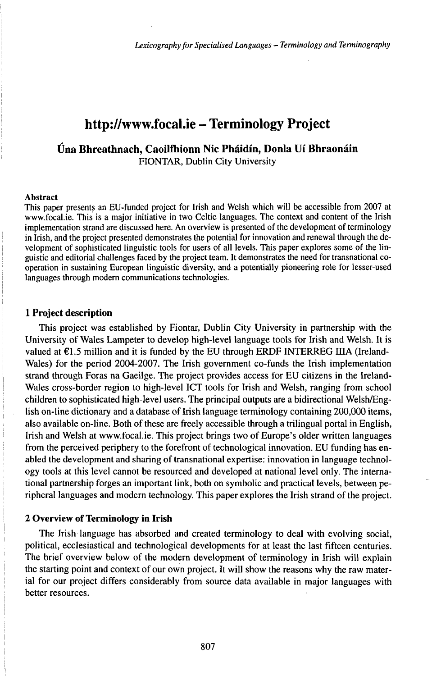# http://www.focal.ie - Terminology Project

# **Úna Bhreathnach, Caoilfhionn Nic Pháidín, Donla Uí Bhraonáin** FIONTAR, Dublin City University

#### Abstract

This paper presents an EU-funded project for Irish and Welsh which will be accessible from 2007 at www.focal.ie. This is a major initiative in two Celtic languages. The context and content of the Irish implementation strand are discussed here. An overview is presented of the development of terminology in Irish, and the project presented demonstrates the potential for innovation and renewal through the development of sophisticated linguistic tools for users of all levels. This paper explores some of the linguistic and editorial challenges faced by the project team. It demonstrates the need for transnational cooperation in sustaining European linguistic diversity, and a potentially pioneering role for lesser-used languages through modern communications technologies.

# **1 Project description**

This project was established by Fiontar, Dublin City University in partnership with the University of Wales Lampeter to develop high-level language tools for Irish and Welsh. It is valued at  $E1.5$  million and it is funded by the EU through ERDF INTERREG IIIA (Ireland-Wales) for the period 2004-2007. The Irish government co-funds the Irish implementation strand through Foras na Gaeilge. The project provides access for EU citizens in the Ireland-Wales cross-border region to high-level ICT tools for Irish and Welsh, ranging from school children to sophisticated high-level users. The principal outputs are a bidirectional Welsh/English on-line dictionary and a database of Irish language terminology containing 200,000 items, also available on-line. Both of these are freely accessible through a trilingual portal in English, Irish and Welsh at www.focal.ie. This project brings two of Europe's older written languages from the perceived periphery to the forefront of technological innovation. EU funding has enabled the development and sharing of transnational expertise: innovation in language technology tools at this level cannot be resourced and developed at national level only. The international partnership forges an important link, both on symbolic and practical levels, between peripheral languages and modern technology. This paper explores the Irish strand of the project.

#### **2 Overview of Terminology in Irish**

The Irish language has absorbed and created terminology to deal with evolving social, political, ecclesiastical and technological developments for at least the last fifteen centuries. The brief overview below of the modern development of terminology in Irish will explain the starting point and context of our own project. It will show the reasons why the raw material for our project differs considerably from source data available in major languages with better resources.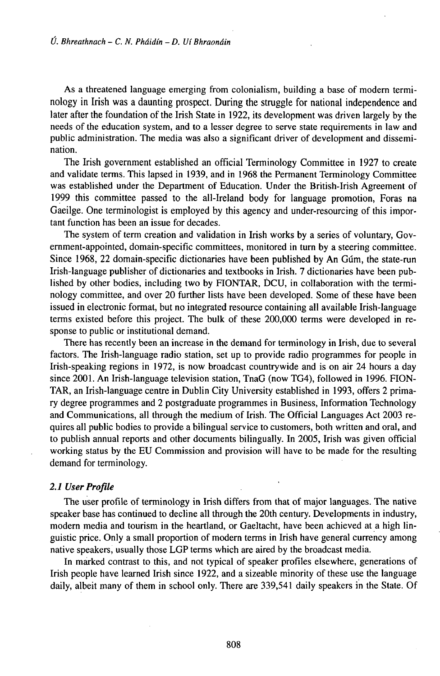As a threatened language emerging from colonialism, building a base of modern terminology in frish was a daunting prospect. During the struggle for national independence and later after the foundation of the Irish State in 1922, its development was driven largely by the needs of the education system, and to a lesser degree to serve state requirements in law and public administration. The media was also a significant driver of development and dissemination.

The Irish government established an official Terminology Committee in 1927 to create and validate terms. This lapsed in 1939, and in 1968 the Permanent Terminology Committee was established under the Department of Education. Under the British-Irish Agreement of 1999 this committee passed to the all-freland body for language promotion, Foras na Gaeilge. One terminologist is employed by this agency and under-resourcing of this important function has been an issue for decades.

The system of term creation and validation in Irish works by a series of voluntary, Government-appointed, domain-specific committees, monitored in turn by a steering committee. Since 1968, 22 domain-specific dictionaries have been published by An Gum, the state-run Irish-language publisher of dictionaries and textbooks in Irish. 7 dictionaries have been published by other bodies, including two by FIONTAR, ĎCU, in collaboration with the terminology committee, and over 20 further lists have been developed. Some of these have been issued in electronic format, but no integrated resource containing all available Irish-language terms existed before this project. The bulk of these 200,000 terms were developed in response to public or institutional demand.

There has recently been an increase in the demand for terminology in Irish, due to several factors. The Irish-language radio station, set up to provide radio programmes for people in Irish-speaking regions in 1972, is now broadcast countrywide and is on air 24 hours a day since 2001. An Irish-language television station, TnaG (now TG4), followed in 1996. FION-TAR, an Irish-language centre in Dublin City University established in 1993, offers 2 primary degree programmes and 2 postgraduate programmes in Business, Information Technology and Communications, all through the medium of Irish. The Official Languages Act 2003 requires all public bodies to provide a bilingual service to customers, both written and oral, and to publish annual reports and other documents bilingually. In 2005, Irish was given official working status by the EU Commission and provision will have to be made for the resulting demand for terminology.

#### **2.1** *User Profile*

The user profile of terminology in Irish differs from that of major languages. The native speaker base has continued to decline all through the 20th century. Developments in industry, modern media and tourism in the heartland, or Gaeltacht, have been achieved at a high linguistic price. Only a small proportion of modern terms in frish have general currency among native speakers, usually those LGP terms which are aired by the broadcast media.

In marked contrast to this, and not typical of speaker profiles elsewhere, generations of Irish people have learned frish since 1922, and a sizeable minority of these use the language daily, albeit many of them in school only. There are 339,541 daily speakers in the State. Of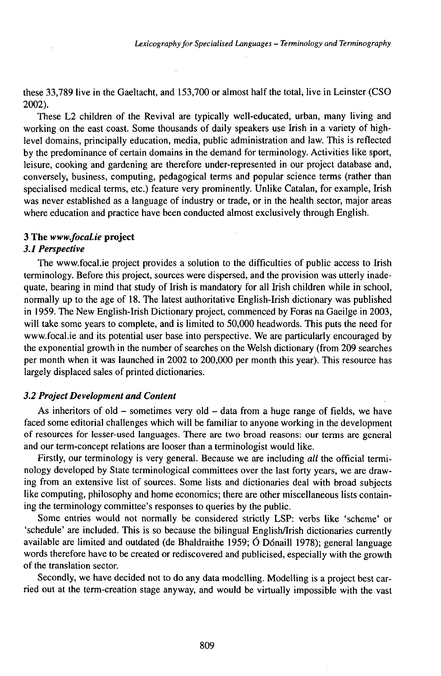these 33,789 live in the Gaeltacht, and 153,700 or almost half the total, live in Leinster (CSO 2002).

These L2 children of the Revival are typically well-educated, urban, many living and working on the east coast. Some thousands of daily speakers use frish in a variety of highlevel domains, principally education, media, public administration and law. This is reflected by the predominance of certain domains in the demand for terminology. Activities like sport, leisure, cooking and gardening are therefore under-represented in our project database and, conversely, business, computing, pedagogical terms and popular science terms (rather than specialised medical terms, etc.) feature very prominently. Unlike Catalan, for example, Irish was never established as a language of industry or trade, or in the health sector, major areas where education and practice have been conducted almost exclusively through English.

## **3 The** *www.focal.ie* **project**

## *3.1 Perspective*

The www.focal.ie project provides a solution to the difficulties of public access to frish terminology. Before this project, sources were dispersed, and the provision was utterly inadequate, bearing in mind that study of Irish is mandatory for all frish children while in school, normally up to the age of 18. The latest authoritative English-Irish dictionary was published in 1959. The New English-Irish Dictionary project, commenced by Foras na Gaeilge in 2003, will take some years to complete, and is limited to 50,000 headwords. This puts the need for www.focal.ie and its potential user base into perspective. We are particularly encouraged by the exponential growth in the number of searches on the Welsh dictionary (from 209 searches per month when it was launched in 2002 to 200,000 per month this year). This resource has largely displaced sales of printed dictionaries.

# *3.2 Project Development and Content*

As inheritors of old - sometimes very old - data from a huge range of fields, we have faced some editorial challenges which will be familiar to anyone working in the development of resources for lesser-used languages. There are two broad reasons: our terms are general and our term-concept relations are looser than a terminologist would like.

Firstly, our terminology is very general. Because we are including *all* the official terminology developed by State terminological committees over the last forty years, we are drawing from an extensive list of sources. Some lists and dictionaries deal with broad subjects like computing, philosophy and home economics; there are other miscellaneous lists containing the terminology committee's responses to queries by the public.

Some entries would not normally be considered strictly LSP: verbs like 'scheme' or 'schedule' are included. This is so because the bilingual EnglishArish dictionaries currently available are limited and outdated (de Bhaldraithe 1959; Ó Dónaill 1978); general language words therefore have to be created or rediscovered and publicised, especially with the growth of the translation sector.

Secondly, we have decided not to do any data modelling. Modelling is a project best carried out at the term-creation stage anyway, and would be virtually impossible with the vast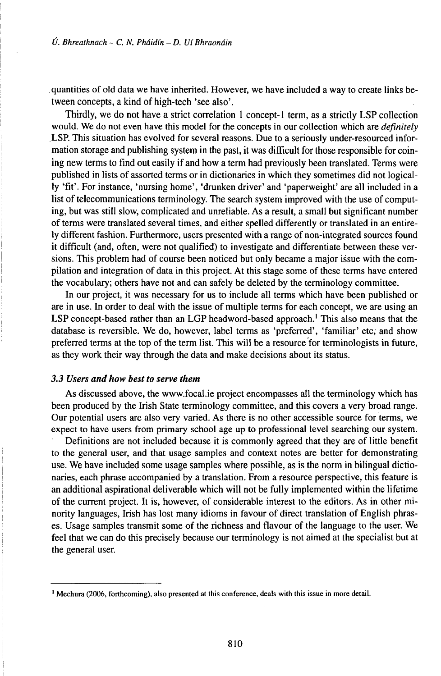quantities of old data we have inherited. However, we have included a way to create links between concepts, a kind of high-tech 'see also'.

Thirdly, we do not have a strict correlation <sup>1</sup> concept-1 term, as a strictly LSP collection would. We do not even have this model for the concepts in our collection which are *definitely* LSP. This situation has evolved for several reasons. Due to a seriously under-resourced information storage and publishing system in the past, it was difficult for those responsible for coining new terms to find out easily if and how a term had previously been translated. Terms were published in lists of assorted terms or in dictionaries in which they sometimes did not logically 'fit'. Forinstance, 'nursing home', 'drunken driver' and 'paperweight' are all included in a list of telecommunications terminology. The search system improved with the use of computing, but was still slow, complicated and unreliable. As a result, a small but significant number of terms were translated several times, and either spelled differently or translated in an entirely different fashion. Furthermore, users presented with a range of non-integrated sources found it difficult (and, often, were not qualified) to investigate and differentiate between these versions. This problem had of course been noticed but only became a major issue with the compilation and integration of data in this project. At this stage some of these terms have entered the vocabulary; others have not and can safely be deleted by the terminology committee.

In our project, it was necessary for us to include all terms which have been published or are in use. In order to deal with the issue of multiple terms for each concept, we are using an LSP concept-based rather than an LGP headword-based approach.<sup>1</sup> This also means that the database is reversible. We do, however, label terms as 'preferred', 'familiar' etc, and show preferred terms at the top of the term list. This will be a resource for terminologists in future, as they work their way through the data and make decisions about its status.

# *3.3 Users and how best to serve them*

As discussed above, the www.focal.ie project encompasses all the terminology which has been produced by the Irish State terminology committee, and this covers a very broad range. Our potential users are also very varied. As there is no other accessible source for terms, we expect to have users from primary school age up to professional level searching our system.

Definitions are not included because it is commonly agreed that they are of little benefit to the general user, and that usage samples and context notes are better for demonstrating use. We have included some usage samples where possible, as is the norm in bilingual dictionaries, each phrase accompanied by a translation. From a resource perspective, this feature is an additional aspirational deliverable which will not be fully implemented within the lifetime of the current project. It is, however, of considerable interest to the editors. As in other minority languages, Irish has lost many idioms in favour of direct translation of English phrases. Usage samples transmit some of the richness and flavour of the language to the user. We feel that we can do this precisely because our terminology is not aimed at the specialist but at the general user.

<sup>1</sup> Mechura (2006, forthcoming), also presented at this conference, deals with this issue in more detail.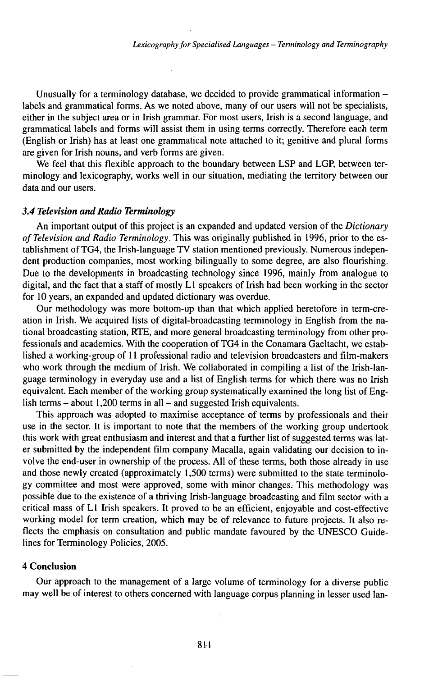Unusually for a terminology database, we decided to provide grammatical information  $-\frac{1}{2}$ labels and grammatical forms. As we noted above, many of our users will not be specialists, either in the subject area or in Irish grammar. For most users, Irish is a second language, and grammatical labels and forms will assist them in using terms correctly. Therefore each term (English or Irish) has at least one grammatical note attached to it; genitive and plural forms are given for Irish nouns, and verb forms are given.

We feel that this flexible approach to the boundary between LSP and LGP, between terminology and lexicography, works well in our situation, mediating the territory between our data and our users.

#### *3.4 Television and Radio Terminology*

An important output of this project is an expanded and updated version of the *Dictionary ofTelevision and Radio Terminology.* This was originally published in 1996, prior to the establishment of TG4, the Irish-language TV station mentioned previously. Numerous independent production companies, most working bilingually to some degree, are also flourishing. Due to the developments in broadcasting technology since 1996, mainly from analogue to digital, and the fact that a staff of mostly  $L1$  speakers of Irish had been working in the sector for 10 years, an expanded and updated dictionary was overdue.

Our methodology was more bottom-up than that which applied heretofore in term-creation in Irish. We acquired lists of digital-broadcasting terminology in English from the national broadcasting station, RTE, and more general broadcasting terminology from other professionals and academics. With the cooperation ofTG4 in the Conamara Gaeltacht, we established a working-group of <sup>11</sup> professional radio and television broadcasters and film-makers who work through the medium of Irish. We collaborated in compiling a list of the Irish-language terminology in everyday use and a list of English terms for which there was no Irish equivalent. Each member of the working group systematically examined the long list of English terms  $-$  about 1,200 terms in all  $-$  and suggested Irish equivalents.

This approach was adopted to maximise acceptance of terms by professionals and their use in the sector. It is important to note that the members of the working group undertook this work with great enthusiasm and interest and that a further list of suggested terms was later submitted by the independent film company Macalla, again validating our decision to involve the end-user in ownership of the process. All of these terms, both those already in use and those newly created (approximately 1,500 terms) were submitted to the state terminology committee and most were approved, some with minor changes. This methodology was possible due to the existence of a thriving Irish-language broadcasting and film sector with a critical mass of L1 frish speakers. It proved to be an efficient, enjoyable and cost-effective working model for term creation, which may be of relevance to future projects. It also reflects the emphasis on consultation and public mandate favoured by the UNESCO Guidelines for Terminology Policies, 2005.

#### **4 Conclusion**

Our approach to the management of a large volume of terminology for a diverse public may well be of interest to others concerned with language corpus planning in lesser used lan